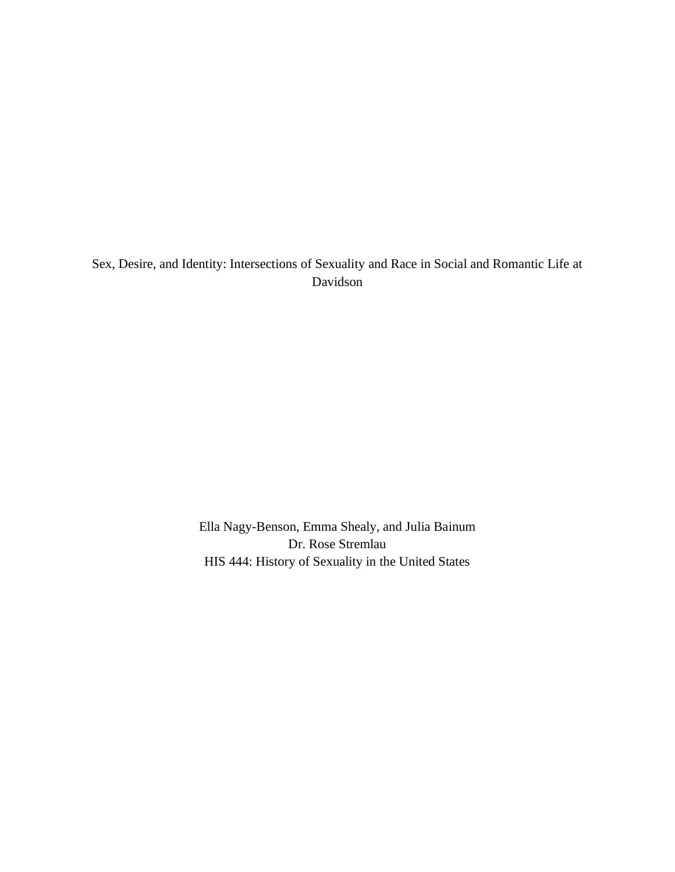Sex, Desire, and Identity: Intersections of Sexuality and Race in Social and Romantic Life at Davidson

> Ella Nagy-Benson, Emma Shealy, and Julia Bainum Dr. Rose Stremlau HIS 444: History of Sexuality in the United States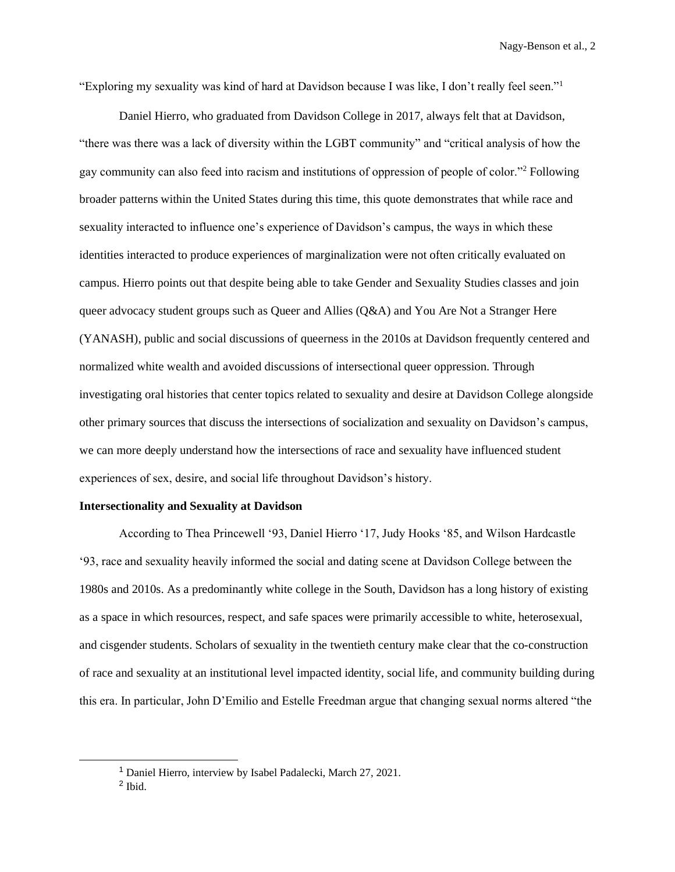"Exploring my sexuality was kind of hard at Davidson because I was like, I don't really feel seen."<sup>1</sup>

Daniel Hierro, who graduated from Davidson College in 2017, always felt that at Davidson, "there was there was a lack of diversity within the LGBT community" and "critical analysis of how the gay community can also feed into racism and institutions of oppression of people of color."<sup>2</sup> Following broader patterns within the United States during this time, this quote demonstrates that while race and sexuality interacted to influence one's experience of Davidson's campus, the ways in which these identities interacted to produce experiences of marginalization were not often critically evaluated on campus. Hierro points out that despite being able to take Gender and Sexuality Studies classes and join queer advocacy student groups such as Queer and Allies (Q&A) and You Are Not a Stranger Here (YANASH), public and social discussions of queerness in the 2010s at Davidson frequently centered and normalized white wealth and avoided discussions of intersectional queer oppression. Through investigating oral histories that center topics related to sexuality and desire at Davidson College alongside other primary sources that discuss the intersections of socialization and sexuality on Davidson's campus, we can more deeply understand how the intersections of race and sexuality have influenced student experiences of sex, desire, and social life throughout Davidson's history.

#### **Intersectionality and Sexuality at Davidson**

According to Thea Princewell '93, Daniel Hierro '17, Judy Hooks '85, and Wilson Hardcastle '93, race and sexuality heavily informed the social and dating scene at Davidson College between the 1980s and 2010s. As a predominantly white college in the South, Davidson has a long history of existing as a space in which resources, respect, and safe spaces were primarily accessible to white, heterosexual, and cisgender students. Scholars of sexuality in the twentieth century make clear that the co-construction of race and sexuality at an institutional level impacted identity, social life, and community building during this era. In particular, John D'Emilio and Estelle Freedman argue that changing sexual norms altered "the

<sup>1</sup> Daniel Hierro, interview by Isabel Padalecki, March 27, 2021.

<sup>&</sup>lt;sup>2</sup> Ibid.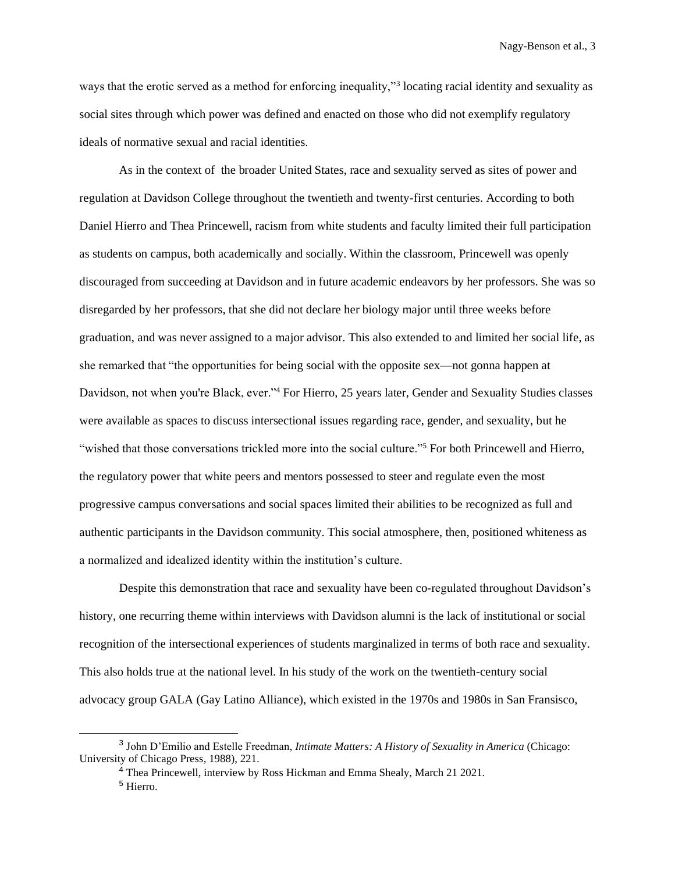ways that the erotic served as a method for enforcing inequality,"<sup>3</sup> locating racial identity and sexuality as social sites through which power was defined and enacted on those who did not exemplify regulatory ideals of normative sexual and racial identities.

As in the context of the broader United States, race and sexuality served as sites of power and regulation at Davidson College throughout the twentieth and twenty-first centuries. According to both Daniel Hierro and Thea Princewell, racism from white students and faculty limited their full participation as students on campus, both academically and socially. Within the classroom, Princewell was openly discouraged from succeeding at Davidson and in future academic endeavors by her professors. She was so disregarded by her professors, that she did not declare her biology major until three weeks before graduation, and was never assigned to a major advisor. This also extended to and limited her social life, as she remarked that "the opportunities for being social with the opposite sex—not gonna happen at Davidson, not when you're Black, ever."<sup>4</sup> For Hierro, 25 years later, Gender and Sexuality Studies classes were available as spaces to discuss intersectional issues regarding race, gender, and sexuality, but he "wished that those conversations trickled more into the social culture."<sup>5</sup> For both Princewell and Hierro, the regulatory power that white peers and mentors possessed to steer and regulate even the most progressive campus conversations and social spaces limited their abilities to be recognized as full and authentic participants in the Davidson community. This social atmosphere, then, positioned whiteness as a normalized and idealized identity within the institution's culture.

Despite this demonstration that race and sexuality have been co-regulated throughout Davidson's history, one recurring theme within interviews with Davidson alumni is the lack of institutional or social recognition of the intersectional experiences of students marginalized in terms of both race and sexuality. This also holds true at the national level. In his study of the work on the twentieth-century social advocacy group GALA (Gay Latino Alliance), which existed in the 1970s and 1980s in San Fransisco,

<sup>3</sup> John D'Emilio and Estelle Freedman, *Intimate Matters: A History of Sexuality in America* (Chicago: University of Chicago Press, 1988), 221.

 $4$  Thea Princewell, interview by Ross Hickman and Emma Shealy, March 21 2021. <sup>5</sup> Hierro.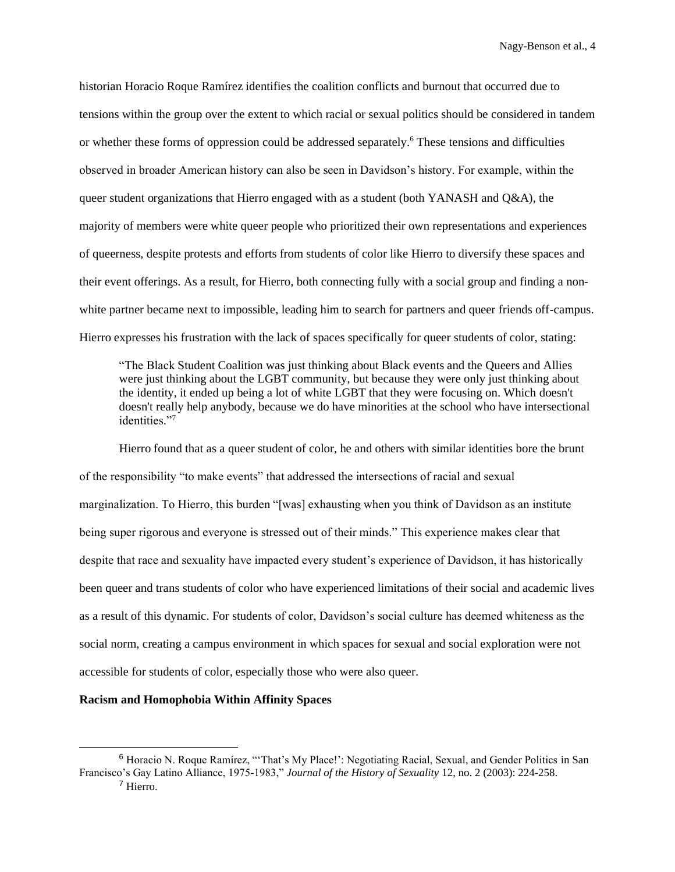historian Horacio Roque Ramírez identifies the coalition conflicts and burnout that occurred due to tensions within the group over the extent to which racial or sexual politics should be considered in tandem or whether these forms of oppression could be addressed separately.<sup>6</sup> These tensions and difficulties observed in broader American history can also be seen in Davidson's history. For example, within the queer student organizations that Hierro engaged with as a student (both YANASH and Q&A), the majority of members were white queer people who prioritized their own representations and experiences of queerness, despite protests and efforts from students of color like Hierro to diversify these spaces and their event offerings. As a result, for Hierro, both connecting fully with a social group and finding a nonwhite partner became next to impossible, leading him to search for partners and queer friends off-campus. Hierro expresses his frustration with the lack of spaces specifically for queer students of color, stating:

"The Black Student Coalition was just thinking about Black events and the Queers and Allies were just thinking about the LGBT community, but because they were only just thinking about the identity, it ended up being a lot of white LGBT that they were focusing on. Which doesn't doesn't really help anybody, because we do have minorities at the school who have intersectional identities."<sup>7</sup>

Hierro found that as a queer student of color, he and others with similar identities bore the brunt of the responsibility "to make events" that addressed the intersections of racial and sexual marginalization. To Hierro, this burden "[was] exhausting when you think of Davidson as an institute being super rigorous and everyone is stressed out of their minds." This experience makes clear that despite that race and sexuality have impacted every student's experience of Davidson, it has historically been queer and trans students of color who have experienced limitations of their social and academic lives as a result of this dynamic. For students of color, Davidson's social culture has deemed whiteness as the social norm, creating a campus environment in which spaces for sexual and social exploration were not accessible for students of color, especially those who were also queer.

#### **Racism and Homophobia Within Affinity Spaces**

<sup>6</sup> Horacio N. Roque Ramírez, "'That's My Place!': Negotiating Racial, Sexual, and Gender Politics in San Francisco's Gay Latino Alliance, 1975-1983," *Journal of the History of Sexuality* 12, no. 2 (2003): 224-258. <sup>7</sup> Hierro.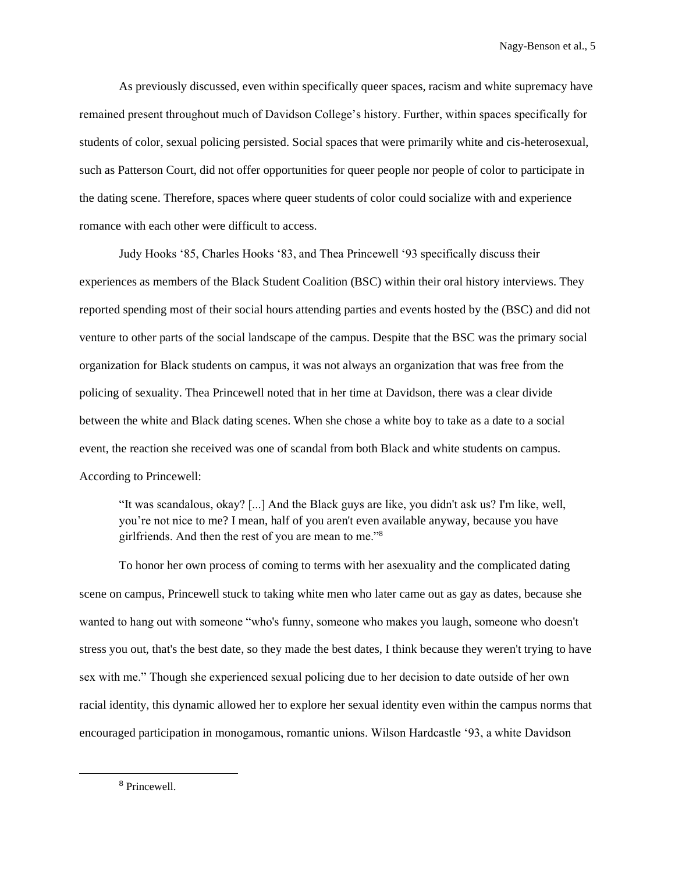As previously discussed, even within specifically queer spaces, racism and white supremacy have remained present throughout much of Davidson College's history. Further, within spaces specifically for students of color, sexual policing persisted. Social spaces that were primarily white and cis-heterosexual, such as Patterson Court, did not offer opportunities for queer people nor people of color to participate in the dating scene. Therefore, spaces where queer students of color could socialize with and experience romance with each other were difficult to access.

Judy Hooks '85, Charles Hooks '83, and Thea Princewell '93 specifically discuss their experiences as members of the Black Student Coalition (BSC) within their oral history interviews. They reported spending most of their social hours attending parties and events hosted by the (BSC) and did not venture to other parts of the social landscape of the campus. Despite that the BSC was the primary social organization for Black students on campus, it was not always an organization that was free from the policing of sexuality. Thea Princewell noted that in her time at Davidson, there was a clear divide between the white and Black dating scenes. When she chose a white boy to take as a date to a social event, the reaction she received was one of scandal from both Black and white students on campus. According to Princewell:

"It was scandalous, okay? [...] And the Black guys are like, you didn't ask us? I'm like, well, you're not nice to me? I mean, half of you aren't even available anyway, because you have girlfriends. And then the rest of you are mean to me."<sup>8</sup>

To honor her own process of coming to terms with her asexuality and the complicated dating scene on campus, Princewell stuck to taking white men who later came out as gay as dates, because she wanted to hang out with someone "who's funny, someone who makes you laugh, someone who doesn't stress you out, that's the best date, so they made the best dates, I think because they weren't trying to have sex with me." Though she experienced sexual policing due to her decision to date outside of her own racial identity, this dynamic allowed her to explore her sexual identity even within the campus norms that encouraged participation in monogamous, romantic unions. Wilson Hardcastle '93, a white Davidson

<sup>8</sup> Princewell.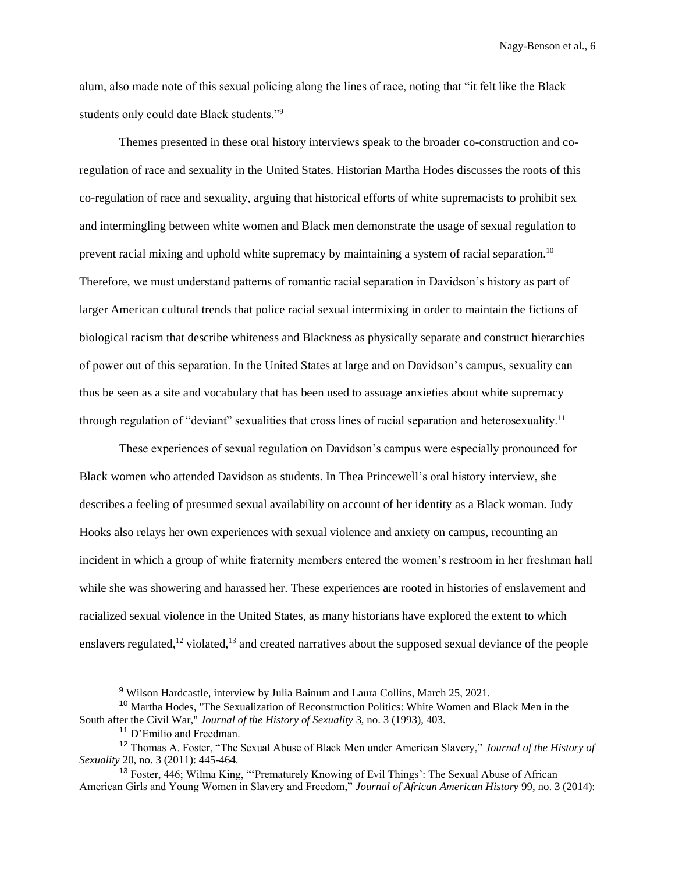alum, also made note of this sexual policing along the lines of race, noting that "it felt like the Black students only could date Black students."<sup>9</sup>

Themes presented in these oral history interviews speak to the broader co-construction and coregulation of race and sexuality in the United States. Historian Martha Hodes discusses the roots of this co-regulation of race and sexuality, arguing that historical efforts of white supremacists to prohibit sex and intermingling between white women and Black men demonstrate the usage of sexual regulation to prevent racial mixing and uphold white supremacy by maintaining a system of racial separation.<sup>10</sup> Therefore, we must understand patterns of romantic racial separation in Davidson's history as part of larger American cultural trends that police racial sexual intermixing in order to maintain the fictions of biological racism that describe whiteness and Blackness as physically separate and construct hierarchies of power out of this separation. In the United States at large and on Davidson's campus, sexuality can thus be seen as a site and vocabulary that has been used to assuage anxieties about white supremacy through regulation of "deviant" sexualities that cross lines of racial separation and heterosexuality.<sup>11</sup>

These experiences of sexual regulation on Davidson's campus were especially pronounced for Black women who attended Davidson as students. In Thea Princewell's oral history interview, she describes a feeling of presumed sexual availability on account of her identity as a Black woman. Judy Hooks also relays her own experiences with sexual violence and anxiety on campus, recounting an incident in which a group of white fraternity members entered the women's restroom in her freshman hall while she was showering and harassed her. These experiences are rooted in histories of enslavement and racialized sexual violence in the United States, as many historians have explored the extent to which enslavers regulated, $12$  violated, $13$  and created narratives about the supposed sexual deviance of the people

<sup>9</sup> Wilson Hardcastle, interview by Julia Bainum and Laura Collins, March 25, 2021.

<sup>&</sup>lt;sup>10</sup> Martha Hodes, "The Sexualization of Reconstruction Politics: White Women and Black Men in the South after the Civil War," *Journal of the History of Sexuality* 3, no. 3 (1993), 403.

<sup>&</sup>lt;sup>11</sup> D'Emilio and Freedman.

<sup>12</sup> Thomas A. Foster, "The Sexual Abuse of Black Men under American Slavery," *Journal of the History of Sexuality* 20, no. 3 (2011): 445-464.

<sup>&</sup>lt;sup>13</sup> Foster, 446; Wilma King, "'Prematurely Knowing of Evil Things': The Sexual Abuse of African American Girls and Young Women in Slavery and Freedom," *Journal of African American History* 99, no. 3 (2014):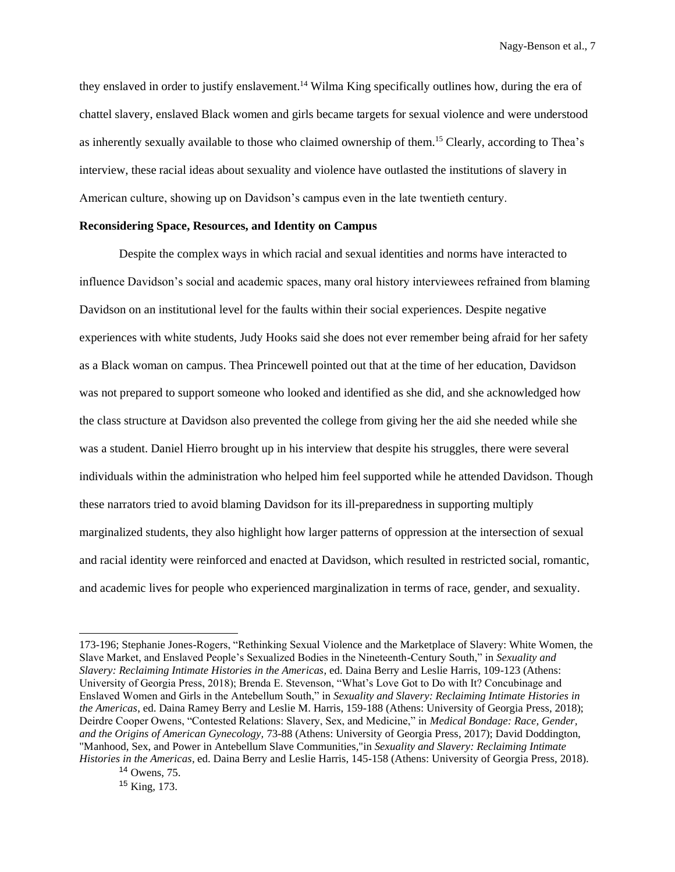they enslaved in order to justify enslavement.<sup>14</sup> Wilma King specifically outlines how, during the era of chattel slavery, enslaved Black women and girls became targets for sexual violence and were understood as inherently sexually available to those who claimed ownership of them.<sup>15</sup> Clearly, according to Thea's interview, these racial ideas about sexuality and violence have outlasted the institutions of slavery in American culture, showing up on Davidson's campus even in the late twentieth century.

### **Reconsidering Space, Resources, and Identity on Campus**

Despite the complex ways in which racial and sexual identities and norms have interacted to influence Davidson's social and academic spaces, many oral history interviewees refrained from blaming Davidson on an institutional level for the faults within their social experiences. Despite negative experiences with white students, Judy Hooks said she does not ever remember being afraid for her safety as a Black woman on campus. Thea Princewell pointed out that at the time of her education, Davidson was not prepared to support someone who looked and identified as she did, and she acknowledged how the class structure at Davidson also prevented the college from giving her the aid she needed while she was a student. Daniel Hierro brought up in his interview that despite his struggles, there were several individuals within the administration who helped him feel supported while he attended Davidson. Though these narrators tried to avoid blaming Davidson for its ill-preparedness in supporting multiply marginalized students, they also highlight how larger patterns of oppression at the intersection of sexual and racial identity were reinforced and enacted at Davidson, which resulted in restricted social, romantic, and academic lives for people who experienced marginalization in terms of race, gender, and sexuality.

<sup>173-196;</sup> Stephanie Jones-Rogers, "Rethinking Sexual Violence and the Marketplace of Slavery: White Women, the Slave Market, and Enslaved People's Sexualized Bodies in the Nineteenth-Century South," in *Sexuality and Slavery: Reclaiming Intimate Histories in the Americas*, ed. Daina Berry and Leslie Harris, 109-123 (Athens: University of Georgia Press, 2018); Brenda E. Stevenson, "What's Love Got to Do with It? Concubinage and Enslaved Women and Girls in the Antebellum South," in *Sexuality and Slavery: Reclaiming Intimate Histories in the Americas*, ed. Daina Ramey Berry and Leslie M. Harris, 159-188 (Athens: University of Georgia Press, 2018); Deirdre Cooper Owens, "Contested Relations: Slavery, Sex, and Medicine," in *Medical Bondage: Race, Gender, and the Origins of American Gynecology,* 73-88 (Athens: University of Georgia Press, 2017); David Doddington, "Manhood, Sex, and Power in Antebellum Slave Communities,"in *Sexuality and Slavery: Reclaiming Intimate Histories in the Americas*, ed. Daina Berry and Leslie Harris, 145-158 (Athens: University of Georgia Press, 2018).

 $14$  Owens, 75.

<sup>15</sup> King, 173.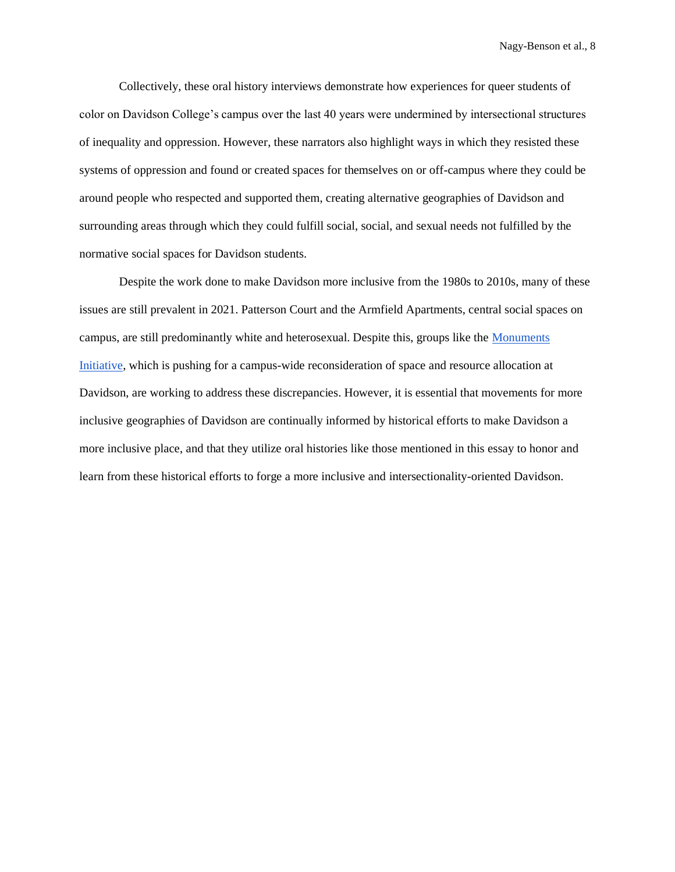Collectively, these oral history interviews demonstrate how experiences for queer students of color on Davidson College's campus over the last 40 years were undermined by intersectional structures of inequality and oppression. However, these narrators also highlight ways in which they resisted these systems of oppression and found or created spaces for themselves on or off-campus where they could be around people who respected and supported them, creating alternative geographies of Davidson and surrounding areas through which they could fulfill social, social, and sexual needs not fulfilled by the normative social spaces for Davidson students.

Despite the work done to make Davidson more inclusive from the 1980s to 2010s, many of these issues are still prevalent in 2021. Patterson Court and the Armfield Apartments, central social spaces on campus, are still predominantly white and heterosexual. Despite this, groups like the [Monuments](https://www.instagram.com/monuments_davidson/?hl=en)  [Initiative,](https://www.instagram.com/monuments_davidson/?hl=en) which is pushing for a campus-wide reconsideration of space and resource allocation at Davidson, are working to address these discrepancies. However, it is essential that movements for more inclusive geographies of Davidson are continually informed by historical efforts to make Davidson a more inclusive place, and that they utilize oral histories like those mentioned in this essay to honor and learn from these historical efforts to forge a more inclusive and intersectionality-oriented Davidson.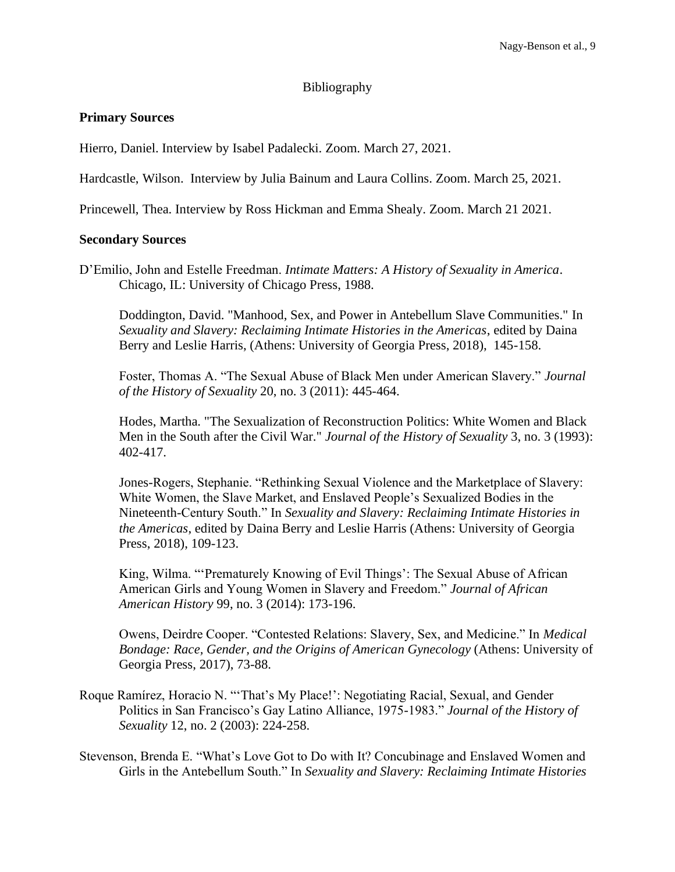# Bibliography

# **Primary Sources**

Hierro, Daniel. Interview by Isabel Padalecki. Zoom. March 27, 2021.

Hardcastle, Wilson. Interview by Julia Bainum and Laura Collins. Zoom. March 25, 2021.

Princewell, Thea. Interview by Ross Hickman and Emma Shealy. Zoom. March 21 2021.

### **Secondary Sources**

D'Emilio, John and Estelle Freedman. *Intimate Matters: A History of Sexuality in America*. Chicago, IL: University of Chicago Press, 1988.

Doddington, David. "Manhood, Sex, and Power in Antebellum Slave Communities." In *Sexuality and Slavery: Reclaiming Intimate Histories in the Americas*, edited by Daina Berry and Leslie Harris, (Athens: University of Georgia Press, 2018), 145-158.

Foster, Thomas A. "The Sexual Abuse of Black Men under American Slavery." *Journal of the History of Sexuality* 20, no. 3 (2011): 445-464.

Hodes, Martha. "The Sexualization of Reconstruction Politics: White Women and Black Men in the South after the Civil War." *Journal of the History of Sexuality* 3, no. 3 (1993): 402-417.

Jones-Rogers, Stephanie. "Rethinking Sexual Violence and the Marketplace of Slavery: White Women, the Slave Market, and Enslaved People's Sexualized Bodies in the Nineteenth-Century South." In *Sexuality and Slavery: Reclaiming Intimate Histories in the Americas*, edited by Daina Berry and Leslie Harris (Athens: University of Georgia Press, 2018), 109-123.

King, Wilma. "'Prematurely Knowing of Evil Things': The Sexual Abuse of African American Girls and Young Women in Slavery and Freedom." *Journal of African American History* 99, no. 3 (2014): 173-196.

Owens, Deirdre Cooper. "Contested Relations: Slavery, Sex, and Medicine." In *Medical Bondage: Race, Gender, and the Origins of American Gynecology* (Athens: University of Georgia Press, 2017), 73-88.

Roque Ramírez, Horacio N. "'That's My Place!': Negotiating Racial, Sexual, and Gender Politics in San Francisco's Gay Latino Alliance, 1975-1983." *Journal of the History of Sexuality* 12, no. 2 (2003): 224-258.

Stevenson, Brenda E. "What's Love Got to Do with It? Concubinage and Enslaved Women and Girls in the Antebellum South." In *Sexuality and Slavery: Reclaiming Intimate Histories*